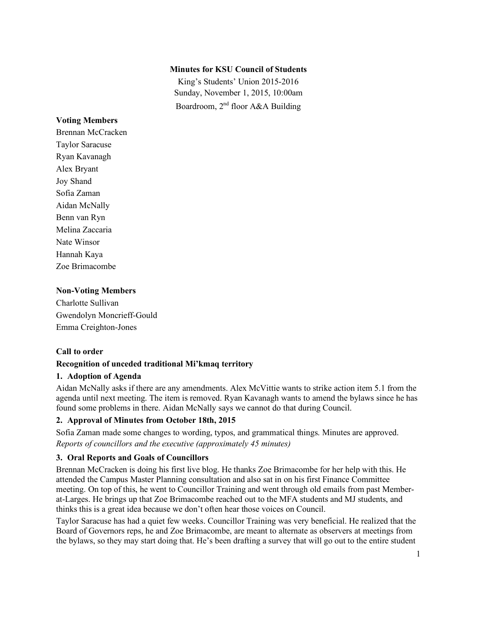## **Minutes for KSU Council of Students**

King's Students' Union 2015-2016 Sunday, November 1, 2015, 10:00am Boardroom, 2nd floor A&A Building

## **Voting Members**

Brennan McCracken Taylor Saracuse Ryan Kavanagh Alex Bryant Joy Shand Sofia Zaman Aidan McNally Benn van Ryn Melina Zaccaria Nate Winsor Hannah Kaya Zoe Brimacombe

## **Non-Voting Members**

Charlotte Sullivan Gwendolyn Moncrieff-Gould Emma Creighton-Jones

## **Call to order**

# **Recognition of unceded traditional Mi'kmaq territory**

## **1. Adoption of Agenda**

Aidan McNally asks if there are any amendments. Alex McVittie wants to strike action item 5.1 from the agenda until next meeting. The item is removed. Ryan Kavanagh wants to amend the bylaws since he has found some problems in there. Aidan McNally says we cannot do that during Council.

## **2. Approval of Minutes from October 18th, 2015**

Sofia Zaman made some changes to wording, typos, and grammatical things. Minutes are approved. *Reports of councillors and the executive (approximately 45 minutes)*

## **3. Oral Reports and Goals of Councillors**

Brennan McCracken is doing his first live blog. He thanks Zoe Brimacombe for her help with this. He attended the Campus Master Planning consultation and also sat in on his first Finance Committee meeting. On top of this, he went to Councillor Training and went through old emails from past Memberat-Larges. He brings up that Zoe Brimacombe reached out to the MFA students and MJ students, and thinks this is a great idea because we don't often hear those voices on Council.

Taylor Saracuse has had a quiet few weeks. Councillor Training was very beneficial. He realized that the Board of Governors reps, he and Zoe Brimacombe, are meant to alternate as observers at meetings from the bylaws, so they may start doing that. He's been drafting a survey that will go out to the entire student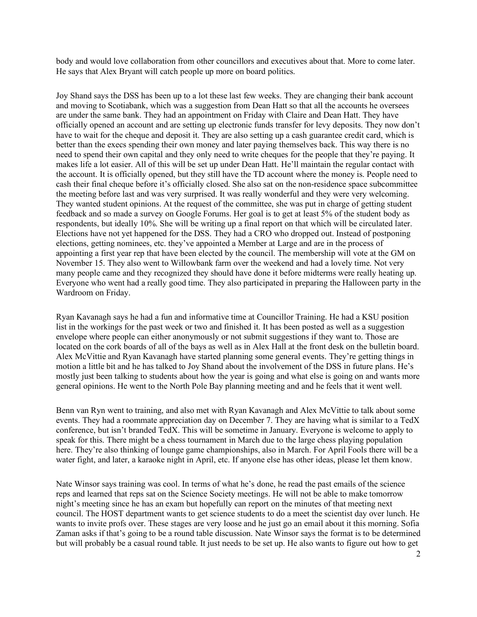body and would love collaboration from other councillors and executives about that. More to come later. He says that Alex Bryant will catch people up more on board politics.

Joy Shand says the DSS has been up to a lot these last few weeks. They are changing their bank account and moving to Scotiabank, which was a suggestion from Dean Hatt so that all the accounts he oversees are under the same bank. They had an appointment on Friday with Claire and Dean Hatt. They have officially opened an account and are setting up electronic funds transfer for levy deposits. They now don't have to wait for the cheque and deposit it. They are also setting up a cash guarantee credit card, which is better than the execs spending their own money and later paying themselves back. This way there is no need to spend their own capital and they only need to write cheques for the people that they're paying. It makes life a lot easier. All of this will be set up under Dean Hatt. He'll maintain the regular contact with the account. It is officially opened, but they still have the TD account where the money is. People need to cash their final cheque before it's officially closed. She also sat on the non-residence space subcommittee the meeting before last and was very surprised. It was really wonderful and they were very welcoming. They wanted student opinions. At the request of the committee, she was put in charge of getting student feedback and so made a survey on Google Forums. Her goal is to get at least 5% of the student body as respondents, but ideally 10%. She will be writing up a final report on that which will be circulated later. Elections have not yet happened for the DSS. They had a CRO who dropped out. Instead of postponing elections, getting nominees, etc. they've appointed a Member at Large and are in the process of appointing a first year rep that have been elected by the council. The membership will vote at the GM on November 15. They also went to Willowbank farm over the weekend and had a lovely time. Not very many people came and they recognized they should have done it before midterms were really heating up. Everyone who went had a really good time. They also participated in preparing the Halloween party in the Wardroom on Friday.

Ryan Kavanagh says he had a fun and informative time at Councillor Training. He had a KSU position list in the workings for the past week or two and finished it. It has been posted as well as a suggestion envelope where people can either anonymously or not submit suggestions if they want to. Those are located on the cork boards of all of the bays as well as in Alex Hall at the front desk on the bulletin board. Alex McVittie and Ryan Kavanagh have started planning some general events. They're getting things in motion a little bit and he has talked to Joy Shand about the involvement of the DSS in future plans. He's mostly just been talking to students about how the year is going and what else is going on and wants more general opinions. He went to the North Pole Bay planning meeting and and he feels that it went well.

Benn van Ryn went to training, and also met with Ryan Kavanagh and Alex McVittie to talk about some events. They had a roommate appreciation day on December 7. They are having what is similar to a TedX conference, but isn't branded TedX. This will be sometime in January. Everyone is welcome to apply to speak for this. There might be a chess tournament in March due to the large chess playing population here. They're also thinking of lounge game championships, also in March. For April Fools there will be a water fight, and later, a karaoke night in April, etc. If anyone else has other ideas, please let them know.

Nate Winsor says training was cool. In terms of what he's done, he read the past emails of the science reps and learned that reps sat on the Science Society meetings. He will not be able to make tomorrow night's meeting since he has an exam but hopefully can report on the minutes of that meeting next council. The HOST department wants to get science students to do a meet the scientist day over lunch. He wants to invite profs over. These stages are very loose and he just go an email about it this morning. Sofia Zaman asks if that's going to be a round table discussion. Nate Winsor says the format is to be determined but will probably be a casual round table. It just needs to be set up. He also wants to figure out how to get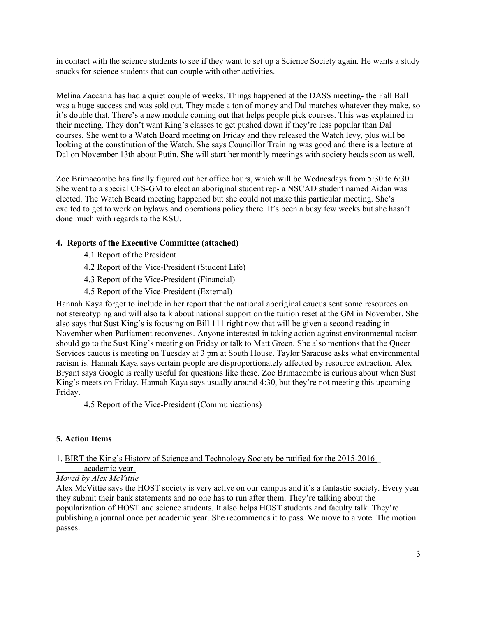in contact with the science students to see if they want to set up a Science Society again. He wants a study snacks for science students that can couple with other activities.

Melina Zaccaria has had a quiet couple of weeks. Things happened at the DASS meeting- the Fall Ball was a huge success and was sold out. They made a ton of money and Dal matches whatever they make, so it's double that. There's a new module coming out that helps people pick courses. This was explained in their meeting. They don't want King's classes to get pushed down if they're less popular than Dal courses. She went to a Watch Board meeting on Friday and they released the Watch levy, plus will be looking at the constitution of the Watch. She says Councillor Training was good and there is a lecture at Dal on November 13th about Putin. She will start her monthly meetings with society heads soon as well.

Zoe Brimacombe has finally figured out her office hours, which will be Wednesdays from 5:30 to 6:30. She went to a special CFS-GM to elect an aboriginal student rep- a NSCAD student named Aidan was elected. The Watch Board meeting happened but she could not make this particular meeting. She's excited to get to work on bylaws and operations policy there. It's been a busy few weeks but she hasn't done much with regards to the KSU.

# **4. Reports of the Executive Committee (attached)**

- 4.1 Report of the President
- 4.2 Report of the Vice-President (Student Life)
- 4.3 Report of the Vice-President (Financial)
- 4.5 Report of the Vice-President (External)

Hannah Kaya forgot to include in her report that the national aboriginal caucus sent some resources on not stereotyping and will also talk about national support on the tuition reset at the GM in November. She also says that Sust King's is focusing on Bill 111 right now that will be given a second reading in November when Parliament reconvenes. Anyone interested in taking action against environmental racism should go to the Sust King's meeting on Friday or talk to Matt Green. She also mentions that the Queer Services caucus is meeting on Tuesday at 3 pm at South House. Taylor Saracuse asks what environmental racism is. Hannah Kaya says certain people are disproportionately affected by resource extraction. Alex Bryant says Google is really useful for questions like these. Zoe Brimacombe is curious about when Sust King's meets on Friday. Hannah Kaya says usually around 4:30, but they're not meeting this upcoming Friday.

4.5 Report of the Vice-President (Communications)

## **5. Action Items**

#### 1. BIRT the King's History of Science and Technology Society be ratified for the 2015-2016 \_ academic year.

## *Moved by Alex McVittie*

Alex McVittie says the HOST society is very active on our campus and it's a fantastic society. Every year they submit their bank statements and no one has to run after them. They're talking about the popularization of HOST and science students. It also helps HOST students and faculty talk. They're publishing a journal once per academic year. She recommends it to pass. We move to a vote. The motion passes.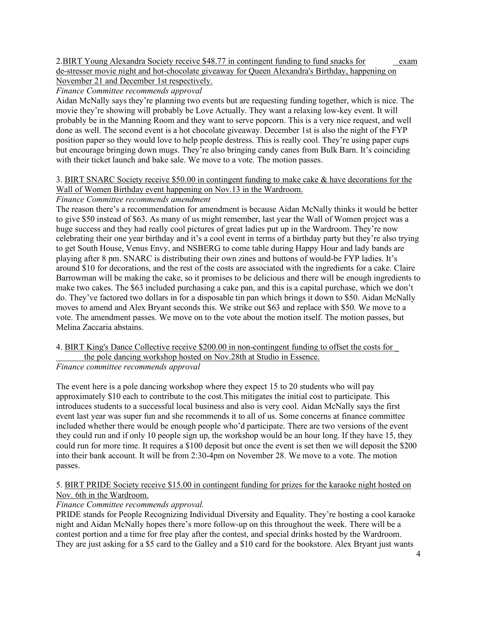2.BIRT Young Alexandra Society receive \$48.77 in contingent funding to fund snacks for exam de-stresser movie night and hot-chocolate giveaway for Queen Alexandra's Birthday, happening on November 21 and December 1st respectively.

*Finance Committee recommends approval*

Aidan McNally says they're planning two events but are requesting funding together, which is nice. The movie they're showing will probably be Love Actually. They want a relaxing low-key event. It will probably be in the Manning Room and they want to serve popcorn. This is a very nice request, and well done as well. The second event is a hot chocolate giveaway. December 1st is also the night of the FYP position paper so they would love to help people destress. This is really cool. They're using paper cups but encourage bringing down mugs. They're also bringing candy canes from Bulk Barn. It's coinciding with their ticket launch and bake sale. We move to a vote. The motion passes.

3. BIRT SNARC Society receive \$50.00 in contingent funding to make cake & have decorations for the Wall of Women Birthday event happening on Nov.13 in the Wardroom.

# *Finance Committee recommends amendment*

The reason there's a recommendation for amendment is because Aidan McNally thinks it would be better to give \$50 instead of \$63. As many of us might remember, last year the Wall of Women project was a huge success and they had really cool pictures of great ladies put up in the Wardroom. They're now celebrating their one year birthday and it's a cool event in terms of a birthday party but they're also trying to get South House, Venus Envy, and NSBERG to come table during Happy Hour and lady bands are playing after 8 pm. SNARC is distributing their own zines and buttons of would-be FYP ladies. It's around \$10 for decorations, and the rest of the costs are associated with the ingredients for a cake. Claire Barrowman will be making the cake, so it promises to be delicious and there will be enough ingredients to make two cakes. The \$63 included purchasing a cake pan, and this is a capital purchase, which we don't do. They've factored two dollars in for a disposable tin pan which brings it down to \$50. Aidan McNally moves to amend and Alex Bryant seconds this. We strike out \$63 and replace with \$50. We move to a vote. The amendment passes. We move on to the vote about the motion itself. The motion passes, but Melina Zaccaria abstains.

4. BIRT King's Dance Collective receive \$200.00 in non-contingent funding to offset the costs for \_ the pole dancing workshop hosted on Nov.28th at Studio in Essence.

*Finance committee recommends approval*

The event here is a pole dancing workshop where they expect 15 to 20 students who will pay approximately \$10 each to contribute to the cost.This mitigates the initial cost to participate. This introduces students to a successful local business and also is very cool. Aidan McNally says the first event last year was super fun and she recommends it to all of us. Some concerns at finance committee included whether there would be enough people who'd participate. There are two versions of the event they could run and if only 10 people sign up, the workshop would be an hour long. If they have 15, they could run for more time. It requires a \$100 deposit but once the event is set then we will deposit the \$200 into their bank account. It will be from 2:30-4pm on November 28. We move to a vote. The motion passes.

## 5. BIRT PRIDE Society receive \$15.00 in contingent funding for prizes for the karaoke night hosted on Nov. 6th in the Wardroom.

# *Finance Committee recommends approval.*

PRIDE stands for People Recognizing Individual Diversity and Equality. They're hosting a cool karaoke night and Aidan McNally hopes there's more follow-up on this throughout the week. There will be a contest portion and a time for free play after the contest, and special drinks hosted by the Wardroom. They are just asking for a \$5 card to the Galley and a \$10 card for the bookstore. Alex Bryant just wants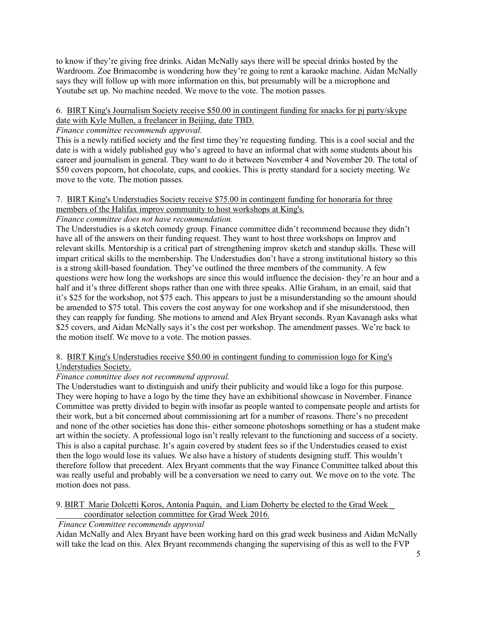to know if they're giving free drinks. Aidan McNally says there will be special drinks hosted by the Wardroom. Zoe Brimacombe is wondering how they're going to rent a karaoke machine. Aidan McNally says they will follow up with more information on this, but presumably will be a microphone and Youtube set up. No machine needed. We move to the vote. The motion passes.

## 6. BIRT King's Journalism Society receive \$50.00 in contingent funding for snacks for pj party/skype date with Kyle Mullen, a freelancer in Beijing, date TBD.

## *Finance committee recommends approval.*

This is a newly ratified society and the first time they're requesting funding. This is a cool social and the date is with a widely published guy who's agreed to have an informal chat with some students about his career and journalism in general. They want to do it between November 4 and November 20. The total of \$50 covers popcorn, hot chocolate, cups, and cookies. This is pretty standard for a society meeting. We move to the vote. The motion passes.

## 7. BIRT King's Understudies Society receive \$75.00 in contingent funding for honoraria for three members of the Halifax improv community to host workshops at King's.

# *Finance committee does not have recommendation.*

The Understudies is a sketch comedy group. Finance committee didn't recommend because they didn't have all of the answers on their funding request. They want to host three workshops on Improv and relevant skills. Mentorship is a critical part of strengthening improv sketch and standup skills. These will impart critical skills to the membership. The Understudies don't have a strong institutional history so this is a strong skill-based foundation. They've outlined the three members of the community. A few questions were how long the workshops are since this would influence the decision- they're an hour and a half and it's three different shops rather than one with three speaks. Allie Graham, in an email, said that it's \$25 for the workshop, not \$75 each. This appears to just be a misunderstanding so the amount should be amended to \$75 total. This covers the cost anyway for one workshop and if she misunderstood, then they can reapply for funding. She motions to amend and Alex Bryant seconds. Ryan Kavanagh asks what \$25 covers, and Aidan McNally says it's the cost per workshop. The amendment passes. We're back to the motion itself. We move to a vote. The motion passes.

# 8. BIRT King's Understudies receive \$50.00 in contingent funding to commission logo for King's

# Understudies Society.

# *Finance committee does not recommend approval.*

The Understudies want to distinguish and unify their publicity and would like a logo for this purpose. They were hoping to have a logo by the time they have an exhibitional showcase in November. Finance Committee was pretty divided to begin with insofar as people wanted to compensate people and artists for their work, but a bit concerned about commissioning art for a number of reasons. There's no precedent and none of the other societies has done this- either someone photoshops something or has a student make art within the society. A professional logo isn't really relevant to the functioning and success of a society. This is also a capital purchase. It's again covered by student fees so if the Understudies ceased to exist then the logo would lose its values. We also have a history of students designing stuff. This wouldn't therefore follow that precedent. Alex Bryant comments that the way Finance Committee talked about this was really useful and probably will be a conversation we need to carry out. We move on to the vote. The motion does not pass.

9. BIRT Marie Dolcetti Koros, Antonia Paquin, and Liam Doherty be elected to the Grad Week \_ coordinator selection committee for Grad Week 2016.

# *Finance Committee recommends approval*

Aidan McNally and Alex Bryant have been working hard on this grad week business and Aidan McNally will take the lead on this. Alex Bryant recommends changing the supervising of this as well to the FVP